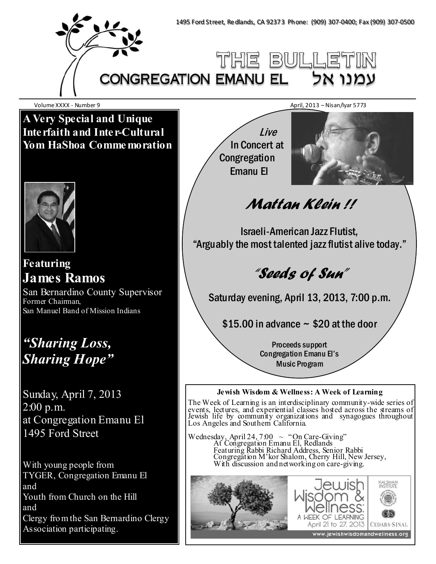

Volume XXXX - Number 9 April, 2013 – Nisan/Iyar 5773

**A Very Special and Unique Interfaith and Inter-Cultural Yom HaShoa Commemoration** 



**Featuring James Ramos** 

San Bernardino County Supervisor Former Chairman, San Manuel Band of Mission Indians

# *"Sharing Loss, Sharing Hope"*

Sunday, April 7, 2013 2:00 p.m. at Congregation Emanu El 1495 Ford Street

With young people from TYGER, Congregation Emanu El and Youth from Church on the Hill and Clergy from the San Bernardino Clergy Association participating.

 Live In Concert at **Congregation** Emanu El



# Mattan Klein !!

Israeli-American Jazz Flutist, "Arguably the most talented jazz flutist alive today."

"Seeds of Sun"

Saturday evening, April 13, 2013, 7:00 p.m.

 $$15.00$  in advance  $\sim$  \$20 at the door

Proceeds support Congregation Emanu El's Music Program

## **Jewish Wisdom & Wellness: A Week of Learning**

The Week of Learning is an interdisciplinary community-wide series of events, lectures, and experiential classes hosted across the streams of Jewish life by community organizations and synagogues throughout Los Angeles and Southern California.

Wednesday, April 24,  $7.00 \sim$  "On Care-Giving" At Congregation Emanu El, Redlands Featuring Rabbi Richard Address, Senior Rabbi Congregation M'kor Shalom, Cherry Hill, New Jersey, With discussion and networking on care-giving.

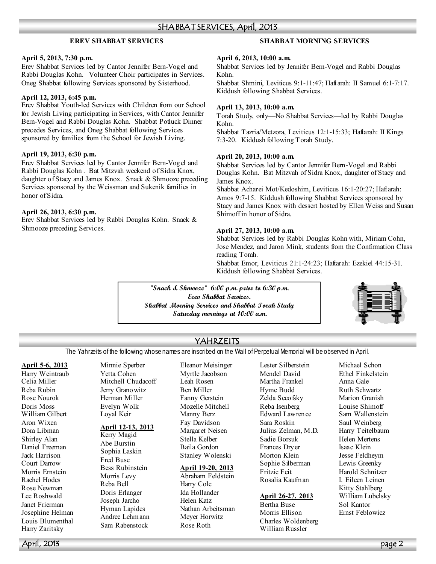#### SHABBAT SERVICES, April, 2013

#### **EREV SHABBAT SERVICES**

#### **April 5, 2013, 7:30 p.m.**

Erev Shabbat Services led by Cantor Jennifer Bern-Vogel and Rabbi Douglas Kohn. Volunteer Choir participates in Services. Oneg Shabbat following Services sponsored by Sisterhood.

#### **April 12, 2013, 6:45 p.m.**

Erev Shabbat Youth-led Services with Children from our School for Jewish Living participating in Services, with Cantor Jennifer Bern-Vogel and Rabbi Douglas Kohn. Shabbat Potluck Dinner precedes Services, and Oneg Shabbat following Services sponsored by families from the School for Jewish Living.

#### **April 19, 2013, 6:30 p.m.**

Erev Shabbat Services led by Cantor Jennifer Bern-Vogel and Rabbi Douglas Kohn . Bat Mitzvah weekend of Sidra Knox, daughter of Stacy and James Knox. Snack & Shmooze preceding Services sponsored by the Weissman and Sukenik families in honor of Sidra.

#### **April 26, 2013, 6:30 p.m.**

Erev Shabbat Services led by Rabbi Douglas Kohn. Snack & Shmooze preceding Services.

#### **SHABBAT MORNING SERVICES**

#### **April 6, 2013, 10:00 a.m.**

Shabbat Services led by Jennifer Bern-Vogel and Rabbi Douglas Kohn.

Shabbat Shmini, Leviticus 9:1-11:47; Haftarah: II Samuel 6:1-7:17. Kiddush following Shabbat Services.

#### **April 13, 2013, 10:00 a.m.**

Torah Study, only—No Shabbat Services—led by Rabbi Douglas Kohn.

Shabbat Tazria/Metzora, Leviticus 12:1-15:33; Haftarah: II Kings 7:3-20. Kiddush following Torah Study.

#### **April 20, 2013, 10:00 a.m.**

Shabbat Services led by Cantor Jennifer Bern-Vogel and Rabbi Douglas Kohn. Bat Mitzvah of Sidra Knox, daughter of Stacy and James Knox.

Shabbat Acharei Mot/Kedoshim, Leviticus 16:1-20:27; Haftarah: Amos 9:7-15. Kiddush following Shabbat Services sponsored by Stacy and James Knox with dessert hosted by Ellen Weiss and Susan Shimoff in honor of Sidra.

#### **April 27, 2013, 10:00 a.m.**

Shabbat Services led by Rabbi Douglas Kohn with, Miriam Cohn, Jose Mendez, and Jaron Mink, students from the Confirmation Class reading Torah.

Shabbat Emor, Leviticus 21:1-24:23; Haftarah: Ezekiel 44:15-31. Kiddush following Shabbat Services.

**"Snack & Shmooze" 6:00 p.m. prior to 6:30 p.m. Erev Shabbat Services. Shabbat Morning Services and Shabbat Torah Study Saturday mornings at 10:00 a.m.** 



## YAHRZEITS

The Yahrzeits of the following whose names are inscribed on the Wall of Perpetual Memorial will be observed in April.

#### **April 5-6, 2013**

Harry Weintraub Celia Miller Reba Rubin Rose Nourok Doris Moss William Gilbert Aron Wixen Dora Libman Shirley Alan Daniel Freeman Jack Harrison Court Darrow Morris Ernstein Rachel Hodes Rose Newman Lee Roshwald Janet Frierman Josephine Helman Louis Blumenthal Harry Zaritsky

Minnie Sperber Yetta Cohen Mitchell Chudacoff Jerry Granowitz Herman Miller Evelyn Wolk Loyal Keir

#### **April 12-13, 2013**

Kerry Magid Abe Burstin Sophia Laskin Fred Buse Bess Rubinstein Morris Levy Reba Bell Doris Erlanger Joseph Jarcho Hyman Lapides Andree Lehmann Sam Rabenstock

Eleanor Meisinger Myrtle Jacobson Leah Rosen Ben Miller Fanny Gerstein Mozelle Mitchell Manny Berz Fay Davidson Margaret Neisen Stella Kelber Baila Gordon Stanley Wolenski

#### **April 19-20, 2013**

Abraham Feldstein Harry Cole Ida Hollander Helen Katz Nathan Arbeitsman Meyer Horwitz Rose Roth

Lester Silberstein Mendel David Martha Frankel Hyme Budd Zelda Seco fsky Reba Isenberg Edward Lawrence Sara Roskin Julius Zelman, M.D. Sadie Borsuk Frances Dryer Morton Klein Sophie Silberman Fritzie Feit Rosalia Kaufman

#### **April 26-27, 2013**

Bertha Buse Morris Ellison Charles Woldenberg William Russler

Michael Schon Ethel Finkelstein Anna Gale Ruth Schwartz Marion Granish Louise Shimoff Sam Wallenstein Saul Weinberg Harry Teitelbaum Helen Mertens Isaac Klein Jesse Feldheym Lewis Greenky Harold Schnitzer I. Eileen Leinen Kitty Stahlberg William Lubelsky Sol Kantor Ernst Feblowicz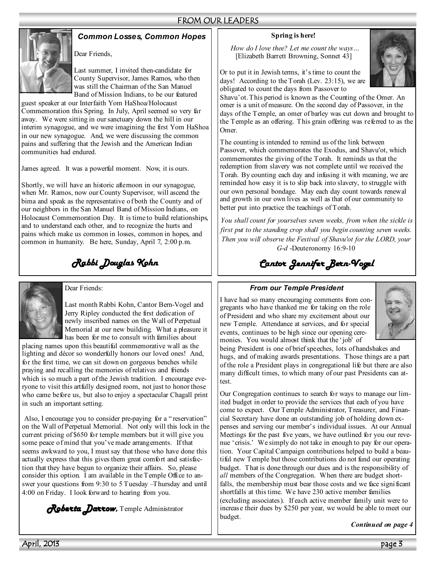# FROM OUR LEADERS

## *Common Losses, Common Hopes*



Dear Friends,

Last summer, I invited then-candidate for County Supervisor, James Ramos, who then was still the Chairman of the San Manuel Band of Mission Indians, to be our featured

guest speaker at our Interfaith Yom HaShoa/Holocaust Commemoration this Spring. In July, April seemed so very far away. We were sitting in our sanctuary down the hill in our interim synagogue, and we were imagining the first Yom HaShoa in our new synagogue. And, we were discussing the common pains and suffering that the Jewish and the American Indian communities had endured.

James agreed. It was a powerful moment. Now, it is ours.

Shortly, we will have an historic afternoon in our synagogue, when Mr. Ramos, now our County Supervisor, will ascend the bima and speak as the representative of both the County and of our neighbors in the San Manuel Band of Mission Indians, on Holocaust Commemoration Day. It is time to build relationships, and to understand each other, and to recognize the hurts and pains which make us common in losses, common in hopes, and common in humanity. Be here, Sunday, April 7, 2:00 p.m.

*Rabbi Douglas Kohn* 



Dear Friends:

Last month Rabbi Kohn, Cantor Bern-Vogel and Jerry Ripley conducted the first dedication of newly inscribed names on the Wall of Perpetual Memorial at our new building. What a pleasure it has been for me to consult with families about

placing names upon this beautiful commemorative wall as the lighting and décor so wonderfully honors our loved ones! And, for the first time, we can sit down on gorgeous benches while praying and recalling the memories of relatives and friends which is so much a part of the Jewish tradition. I encourage everyone to visit this artfully designed room, not just to honor those who came before us, but also to enjoy a spectacular Chagall print in such an important setting.

Also, I encourage you to consider pre-paying for a "reservation" on the Wall of Perpetual Memorial. Not only will this lock in the current pricing of \$650 for temple members but it will give you some peace of mind that you've made arrangements. If that seems awkward to you, I must say that those who have done this actually express that this gives them great comfort and satisfaction that they have begun to organize their affairs. So, please consider this option. I am available in the Temple Office to answer your questions from 9:30 to 5 Tuesday –Thursday and until 4:00 on Friday. I look forward to hearing from you.

*Roberta Darrow, Roberta Darrow* Temple Administrator

#### **Spring is here!**

*How do I love thee? Let me count the ways…*  [Elizabeth Barrett Browning, Sonnet 43]



Or to put it in Jewish terms, it's time to count the days! According to the Torah (Lev. 23:15), we are obligated to count the days from Passover to

Shavu'ot. This period is known as the Counting of the Omer. An omer is a unit of measure. On the second day of Passover, in the days of the Temple, an omer of barley was cut down and brought to the Temple as an offering. This grain offering was referred to as the Omer.

The counting is intended to remind us of the link between Passover, which commemorates the Exodus, and Shavu'ot, which commemorates the giving of the Torah. It reminds us that the redemption from slavery was not complete until we received the Torah. By counting each day and infusing it with meaning, we are reminded how easy it is to slip back into slavery, to struggle with our own personal bondage. May each day count towards renewal and growth in our own lives as well as that of our community to better put into practice the teachings of Torah.

*You shall count for yourselves seven weeks, from when the sickle is first put to the standing crop shall you begin counting seven weeks. Then you will observe the Festival of Shavu'ot for the LORD, your G-d* -Deuteronomy 16:9-10

# *Cantor Jennifer Bern- Cantor Jennifer Bern-Vogel*

#### *From our Temple President*

I have had so many encouraging comments from congregants who have thanked me for taking on the role of President and who share my excitement about our new Temple. Attendance at services, and for special events, continues to be high since our opening ceremonies. You would almost think that the 'job' of



being President is one of brief speeches, lots of handshakes and hugs, and of making awards presentations. Those things are a part of the role a President plays in congregational life but there are also many difficult times, to which many of our past Presidents can attest.

Our Congregation continues to search for ways to manage our limited budget in order to provide the services that each of you have come to expect. Our Temple Administrator, Treasurer, and Financial Secretary have done an outstanding job of holding down expenses and serving our member's individual issues. At our Annual Meetings for the past five years, we have outlined for you our revenue 'crisis.' We simply do not take in enough to pay for our operation. Your Capital Campaign contributions helped to build a beautiful new Temple but those contributions do not fund our operating budget. That is done through our dues and is the responsibility of *all* members of the Congregation. When there are budget shortfalls, the membership must bear those costs and we face significant shortfalls at this time. We have 230 active member families (excluding associates). If each active member family unit were to increase their dues by \$250 per year, we would be able to meet our budget.

*Continued on page 4*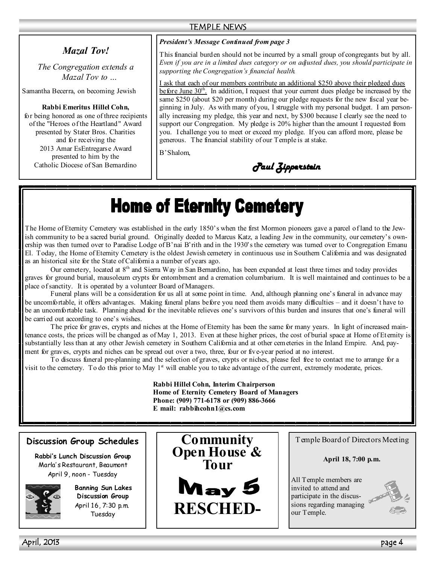#### TEMPLE NEWS

# *Mazal Tov!*

*The Congregation extends a Mazal Tov to …* 

Samantha Becerra, on becoming Jewish

#### **Rabbi Emeritus Hillel Cohn,**

for being honored as one of three recipients of the "Heroes of the Heartland" Award presented by Stater Bros. Charities and for receiving the 2013 Amar EsEntregarse Award presented to him by the Catholic Diocese of San Bernardino

#### *President's Message Continued from page 3*

This financial burden should not be incurred by a small group of congregants but by all. *Even if you are in a limited dues category or on adjusted dues, you should participate in supporting the Congregation's financial health.* 

I ask that each of our members contribute an additional \$250 above their pledged dues before June 30<sup>th</sup>. In addition, I request that your current dues pledge be increased by the same \$250 (about \$20 per month) during our pledge requests for the new fiscal year beginning in July. As with many of you, I struggle with my personal budget. I am personally increasing my pledge, this year and next, by \$300 because I clearly see the need to support our Congregation. My pledge is 20% higher than the amount I requested from you. I challenge you to meet or exceed my pledge. If you can afford more, please be generous. The financial stability of our Temple is at stake.

B'Shalom,

*Paul Zipperstein Paul Zipperstein* 

# **Home of Eternity Cemetery**

The Home of Eternity Cemetery was established in the early 1850's when the first Mormon pioneers gave a parcel of land to the Jewish community to be a sacred burial ground. Originally deeded to Marcus Katz, a leading Jew in the community, our cemetery's ownership was then turned over to Paradise Lodge of B'nai B'rith and in the 1930's the cemetery was turned over to Congregation Emanu El. Today, the Home of Eternity Cemetery is the oldest Jewish cemetery in continuous use in Southern California and was designated as an historical site for the State of California a number of years ago.

Our cemetery, located at 8<sup>th</sup> and Sierra Way in San Bernardino, has been expanded at least three times and today provides graves for ground burial, mausoleum crypts for entombment and a cremation columbarium. It is well maintained and continues to be a place of sanctity. It is operated by a volunteer Board of Managers.

 Funeral plans will be a consideration for us all at some point in time. And, although planning one's funeral in advance may be uncomfortable, it offers advantages. Making funeral plans before you need them avoids many difficulties – and it doesn't have to be an uncomfortable task. Planning ahead for the inevitable relieves one's survivors of this burden and insures that one's funeral will be carried out according to one's wishes.

 The price for graves, crypts and niches at the Home of Eternity has been the same for many years. In light of increased maintenance costs, the prices will be changed as of May 1, 2013. Even at these higher prices, the cost of burial space at Home of Eternity is substantially less than at any other Jewish cemetery in Southern California and at other cemeteries in the Inland Empire. And, payment for graves, crypts and niches can be spread out over a two, three, four or five-year period at no interest.

 To discuss funeral pre-planning and the selection of graves, crypts or niches, please feel free to contact me to arrange for a visit to the cemetery. To do this prior to May  $1<sup>st</sup>$  will enable you to take advantage of the current, extremely moderate, prices.

> **Rabbi Hillel Cohn, Interim Chairperson Home of Eternity Cemetery Board of Managers Phone: (909) 771-6178 or (909) 886-3666 E mail: rabbihcohn1@cs.com**

#### **Discussion Group Schedules**

**Rabbi's Lunch Discussion Group**  Marla' s Restaurant, Beaumont April 9, noon - Tuesday



**Banning Sun Lakes Discussion Group**  April 16, 7:30 p.m. Tuesday





Temple Board of Directors Meeting

**April 18, 7:00 p.m.** 

All Temple members are invited to attend and participate in the discussions regarding managing our Temple.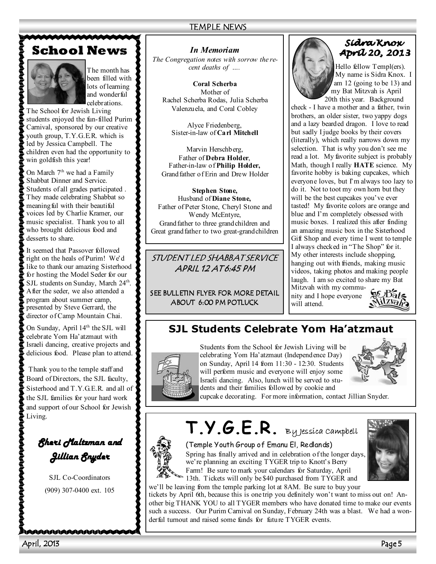### TEMPLE NEWS

# **School News**

The month has been filled with lots of learning and wonderful celebrations.

The School for Jewish Living students enjoyed the fun-filled Purim Carnival, sponsored by our creative youth group, T.Y.G.E.R. which is led by Jessica Campbell. The children even had the opportunity to win goldfish this year!

On March  $7<sup>th</sup>$  we had a Family Shabbat Dinner and Service. Students of all grades participated . They made celebrating Shabbat so meaning ful with their beautiful voices led by Charlie Kramer, our music specialist. Thank you to all who brought delicious food and desserts to share.

It seemed that Passover followed right on the heals of Purim! We'd like to thank our amazing Sisterhood for hosting the Model Seder for our SJL students on Sunday, March 24<sup>th</sup>. After the seder, we also attended a program about summer camp, presented by Steve Gerrard, the director of Camp Mountain Chai.

On Sunday, April 14<sup>th</sup> the SJL will celebrate Yom Ha'atzmaut with Israeli dancing, creative projects and delicious food. Please plan to attend.

 Thank you to the temple staff and Board of Directors, the SJL faculty, Sisterhood and T.Y.G.E.R. and all of the SJL families for your hard work and support of our School for Jewish Living.

# *Sheri Maltzman and Jillian Snyder Jillian Snyder*

SJL Co-Coordinators (909) 307-0400 ext. 105

\AAAAAAAAAAAAAA

# *In Memoriam*

*The Congregation notes with sorrow the recent deaths of ….* 

**Coral Scherba**  Mother of Rachel Scherba Rodas, Julia Scherba Valenzuela, and Coral Cobley

Alyce Friedenberg, Sister-in-law of **Carl Mitchell** 

Marvin Herschberg, Father of **Debra Holder**, Father-in-law of **Philip Holder,**  Grandfather of Erin and Drew Holder

**Stephen Stone,**  Husband of **Diane Stone,** Father of Peter Stone, Cheryl Stone and Wendy McEntyre, Grand father to three grandchildren and Great grandfather to two great-grandchildren

STUDENT LED SHABBAT SERVICE APRIL 12 AT 6:45 PM

SEE BULLETIN FLYER FOR MORE DETAIL ABOUT 6:00 PM POTLUCK



### Sídra Knox **Apríl 20, 2013**

Hello fellow Templ(ers). My name is Sidra Knox. I am 12 (going to be 13) and my Bat Mitzvah is April 20th this year. Background

check - I have a mother and a father, twin brothers, an older sister, two yappy dogs and a lazy bearded dragon. I love to read but sadly I judge books by their covers (literally), which really narrows down my selection. That is why you don't see me read a lot. My favorite subject is probably Math, though I really **HATE** science. My favorite hobby is baking cupcakes, which everyone loves, but I'm always too lazy to do it. Not to toot my own horn but they will be the best cupcakes you've ever tasted! My favorite colors are orange and blue and I'm completely obsessed with music boxes. I realized this after finding an amazing music box in the Sisterhood Gift Shop and every time I went to temple I always checked in "The Shop" for it. My other interests include shopping, hanging out with friends, making music videos, taking photos and making people laugh. I am so excited to share my Bat

Mitzvah with my community and I hope everyone will attend.



# **SJL Students Celebrate Yom Ha'atzmaut**



Students from the School for Jewish Living will be celebrating Yom Ha'atzmaut (Independence Day) on Sunday, April 14 from 11:30 - 12:30. Students will perform music and everyone will enjoy some Israeli dancing. Also, lunch will be served to students and their families followed by cookie and



cupcake decorating. For more information, contact Jillian Snyder.

**T.Y.G.E.R.** By Jessica Campbell

(Temple Youth Group of Emanu El, Redlands)

Spring has finally arrived and in celebration of the longer days, we're planning an exciting TYGER trip to Knott's Berry Farm! Be sure to mark your calendars for Saturday, April 13th. Tickets will only be \$40 purchased from TYGER and we'll be leaving from the temple parking lot at 8AM. Be sure to buy your

tickets by April 6th, because this is one trip you definitely won't want to miss out on! Another big THANK YOU to all TYGER members who have donated time to make our events such a success. Our Purim Carnival on Sunday, February 24th was a blast. We had a wonderful turnout and raised some funds for future TYGER events.

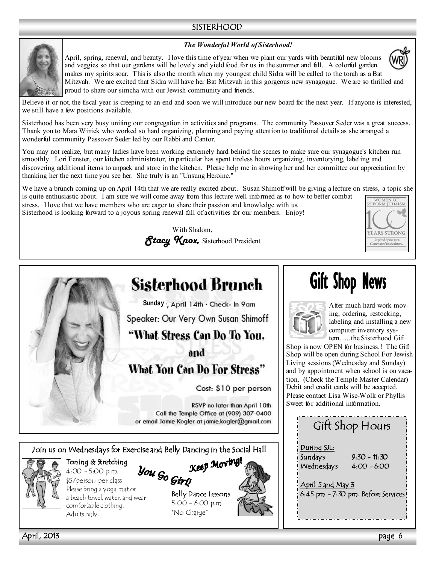## SISTERHOOD



April, spring, renewal, and beauty. I love this time of year when we plant our yards with beautiful new blooms and veggies so that our gardens will be lovely and yield food for us in the summer and fall. A colorful garden makes my spirits soar. This is also the month when my youngest child Sidra will be called to the torah as a Bat Mitzvah. We are excited that Sidra will have her Bat Mitzvah in this gorgeous new synagogue. We are so thrilled and proud to share our simcha with our Jewish community and friends.



Believe it or not, the fiscal year is creeping to an end and soon we will introduce our new board for the next year. If anyone is interested, we still have a few positions available.

Sisterhood has been very busy uniting our congregation in activities and programs. The community Passover Seder was a great success. Thank you to Mara Winick who worked so hard organizing, planning and paying attention to traditional details as she arranged a wonderful community Passover Seder led by our Rabbi and Cantor.

You may not realize, but many ladies have been working extremely hard behind the scenes to make sure our synagogue's kitchen run smoothly. Lori Fenster, our kitchen administrator, in particular has spent tireless hours organizing, inventorying, labeling and discovering additional items to unpack and store in the kitchen. Please help me in showing her and her committee our appreciation by thanking her the next time you see her. She truly is an "Unsung Heroine."

We have a brunch coming up on April 14th that we are really excited about. Susan Shimoff will be giving a lecture on stress, a topic she is quite enthusiastic about. I am sure we will come away from this lecture well informed as to how to better combat

stress. I love that we have members who are eager to share their passion and knowledge with us. Sisterhood is looking forward to a joyous spring renewal full of activities for our members. Enjoy!







April, 2013 page 6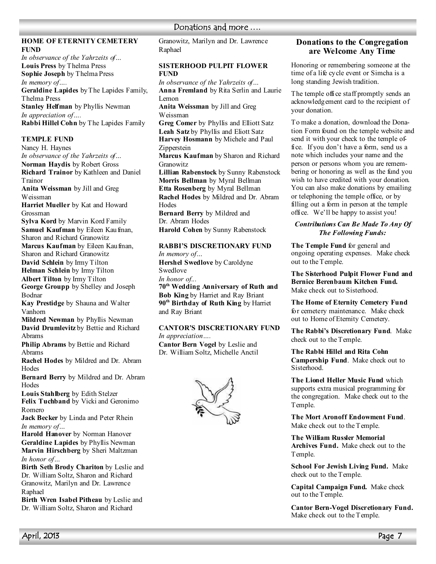# Donations and more ....

#### **HOME OF ETERNITY CEMETERY FUND**

*In observance of the Yahrzeits of…*  **Louis Press** by Thelma Press **Sophie Joseph** by Thelma Press *In memory of….*  **Geraldine Lapides** by The Lapides Family, Thelma Press **Stanley Helfman** by Phyllis Newman *In appreciation of….*  **Rabbi Hillel Cohn** by The Lapides Family

#### **TEMPLE FUND**

Nancy H. Haynes *In observance of the Yahrzeits of…*  **7orman Haydis** by Robert Gross **Richard Trainor** by Kathleen and Daniel Trainor **Anita Weissman** by Jill and Greg Weissman **Harriet Mueller** by Kat and Howard Grossman **Sylva Kord** by Marvin Kord Family **Samuel Kaufman** by Eileen Kaufman, Sharon and Richard Granowitz **Marcus Kaufman** by Eileen Kaufman, Sharon and Richard Granowitz **David Schlein** by Irmy Tilton **Helman Schlein** by Irmy Tilton **Albert Tilton** by Irmy Tilton **George Groupp** by Shelley and Joseph Bodnar **Kay Prestidge** by Shauna and Walter Vanhorn **Mildred Newman** by Phyllis Newman **David Drumlevitz** by Bettie and Richard Abrams **Philip Abrams** by Bettie and Richard Abrams **Rachel Hodes** by Mildred and Dr. Abram **Hodes Bernard Berry** by Mildred and Dr. Abram **Hodes Louis Stahlberg** by Edith Stelzer **Felix Tuchband** by Vicki and Geronimo Romero **Jack Becker** by Linda and Peter Rhein *In memory of…*  **Harold Hanover** by Norman Hanover **Geraldine Lapides** by Phyllis Newman **Marvin Hirschberg** by Sheri Maltzman *In honor of…*  **Birth Seth Brody Chariton** by Leslie and Dr. William Soltz, Sharon and Richard

Granowitz, Marilyn and Dr. Lawrence Raphael **Birth Wren Isabel Pitheau** by Leslie and

Dr. William Soltz, Sharon and Richard

Granowitz, Marilyn and Dr. Lawrence Raphael

#### **SISTERHOOD PULPIT FLOWER FUND**

*In observance of the Yahrzeits of…* **Anna Fremland** by Rita Serlin and Laurie Lemon **Anita Weissman** by Jill and Greg

Weissman

**Greg Comer** by Phyllis and Elliott Satz **Leah Satz** by Phyllis and Eliott Satz **Harvey Hosmann** by Michele and Paul Zipperstein **Marcus Kaufman** by Sharon and Richard Granowitz **Lillian Rabenstock** by Sunny Rabenstock **Morris Bellman** by Myral Bellman **Etta Rosenberg** by Myral Bellman **Rachel Hodes** by Mildred and Dr. Abram **Hodes Bernard Berry** by Mildred and Dr. Abram Hodes **Harold Cohen** by Sunny Rabenstock **RABBI'S DISCRETIONARY FUND** 

*In memory of…*  **Hershel Swedlove** by Caroldyne Swedlove *In honor of...* 

**70th Wedding Anniversary of Ruth and Bob King** by Harriet and Ray Briant **90th Birthday of Ruth King** by Harriet and Ray Briant

# **CANTOR'S DISCRETIONARY FUND**

*In appreciation….* 

**Cantor Bern Vogel** by Leslie and Dr. William Soltz, Michelle Anctil



#### **Donations to the Congregation are Welcome Any Time**

Honoring or remembering someone at the time of a life cycle event or Simcha is a long standing Jewish tradition.

The temple office staff promptly sends an acknowledgement card to the recipient of your donation.

To make a donation, download the Donation Form found on the temple website and send it with your check to the temple office. If you don't have a form, send us a note which includes your name and the person or persons whom you are remembering or honoring as well as the fund you wish to have credited with your donation. You can also make donations by emailing or telephoning the temple office, or by filling out a form in person at the temple office. We'll be happy to assist you!

#### *Contributions Can Be Made To Any Of The Following Funds:*

**The Temple Fund** for general and ongoing operating expenses. Make check out to the Temple.

**The Sisterhood Pulpit Flower Fund and Bernice Berenbaum Kitchen Fund.**  Make check out to Sisterhood.

**The Home of Eternity Cemetery Fund**  for cemetery maintenance. Make check out to Home of Eternity Cemetery.

**The Rabbi's Discretionary Fund**. Make check out to the Temple.

**The Rabbi Hillel and Rita Cohn Campership Fund**. Make check out to Sisterhood.

**The Lionel Heller Music Fund** which supports extra musical programming for the congregation. Make check out to the Temple.

**The Mort Aronoff Endowment Fund**. Make check out to the Temple.

**The William Russler Memorial Archives Fund.** Make check out to the Temple.

**School For Jewish Living Fund.** Make check out to the Temple.

**Capital Campaign Fund.** Make check out to the Temple.

**Cantor Bern-Vogel Discretionary Fund.**  Make check out to the Temple.